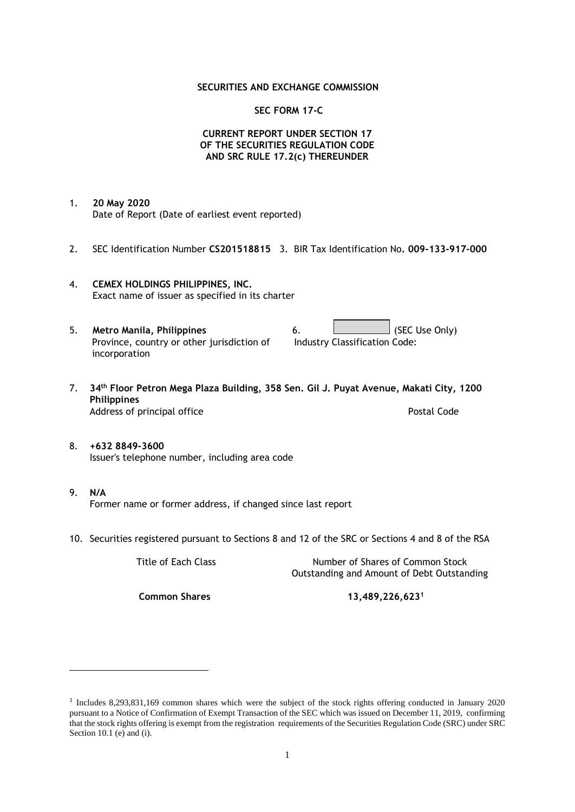## **SECURITIES AND EXCHANGE COMMISSION**

## **SEC FORM 17-C**

## **CURRENT REPORT UNDER SECTION 17 OF THE SECURITIES REGULATION CODE AND SRC RULE 17.2(c) THEREUNDER**

- 1. **20 May 2020** Date of Report (Date of earliest event reported)
- 2. SEC Identification Number **CS201518815** 3. BIR Tax Identification No**. 009-133-917-000**
- 4. **CEMEX HOLDINGS PHILIPPINES, INC.** Exact name of issuer as specified in its charter
- 5. **Metro Manila, Philippines** 6. **Consumers 6.** (SEC Use Only) Province, country or other jurisdiction of incorporation Industry Classification Code:
- 7. **34th Floor Petron Mega Plaza Building, 358 Sen. Gil J. Puyat Avenue, Makati City, 1200 Philippines** Address of principal office **Postal Code** Postal Code
- 8. **+632 8849-3600** Issuer's telephone number, including area code
- 9. **N/A** Former name or former address, if changed since last report
- 10. Securities registered pursuant to Sections 8 and 12 of the SRC or Sections 4 and 8 of the RSA

Title of Each Class Number of Shares of Common Stock Outstanding and Amount of Debt Outstanding

**Common Shares 13,489,226,623<sup>1</sup>**

<sup>1</sup> Includes 8,293,831,169 common shares which were the subject of the stock rights offering conducted in January 2020 pursuant to a Notice of Confirmation of Exempt Transaction of the SEC which was issued on December 11, 2019, confirming that the stock rights offering is exempt from the registration requirements of the Securities Regulation Code (SRC) under SRC Section 10.1 (e) and (i).